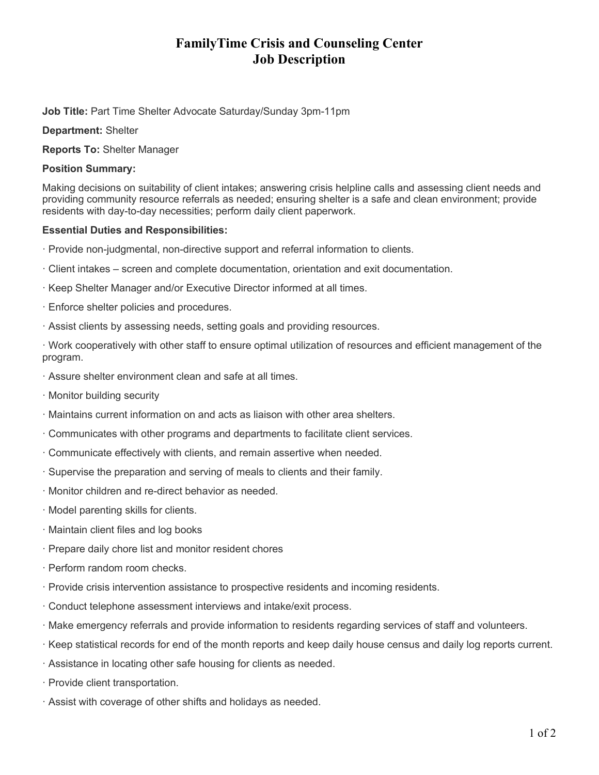# **FamilyTime Crisis and Counseling Center Job Description**

**Job Title:** Part Time Shelter Advocate Saturday/Sunday 3pm-11pm

**Department:** Shelter

**Reports To:** Shelter Manager

## **Position Summary:**

Making decisions on suitability of client intakes; answering crisis helpline calls and assessing client needs and providing community resource referrals as needed; ensuring shelter is a safe and clean environment; provide residents with day-to-day necessities; perform daily client paperwork.

## **Essential Duties and Responsibilities:**

- · Provide non-judgmental, non-directive support and referral information to clients.
- · Client intakes screen and complete documentation, orientation and exit documentation.
- · Keep Shelter Manager and/or Executive Director informed at all times.
- · Enforce shelter policies and procedures.
- · Assist clients by assessing needs, setting goals and providing resources.

· Work cooperatively with other staff to ensure optimal utilization of resources and efficient management of the program.

- · Assure shelter environment clean and safe at all times.
- · Monitor building security
- · Maintains current information on and acts as liaison with other area shelters.
- · Communicates with other programs and departments to facilitate client services.
- · Communicate effectively with clients, and remain assertive when needed.
- · Supervise the preparation and serving of meals to clients and their family.
- · Monitor children and re-direct behavior as needed.
- · Model parenting skills for clients.
- · Maintain client files and log books
- · Prepare daily chore list and monitor resident chores
- · Perform random room checks.
- · Provide crisis intervention assistance to prospective residents and incoming residents.
- · Conduct telephone assessment interviews and intake/exit process.
- · Make emergency referrals and provide information to residents regarding services of staff and volunteers.
- · Keep statistical records for end of the month reports and keep daily house census and daily log reports current.
- · Assistance in locating other safe housing for clients as needed.
- · Provide client transportation.
- · Assist with coverage of other shifts and holidays as needed.